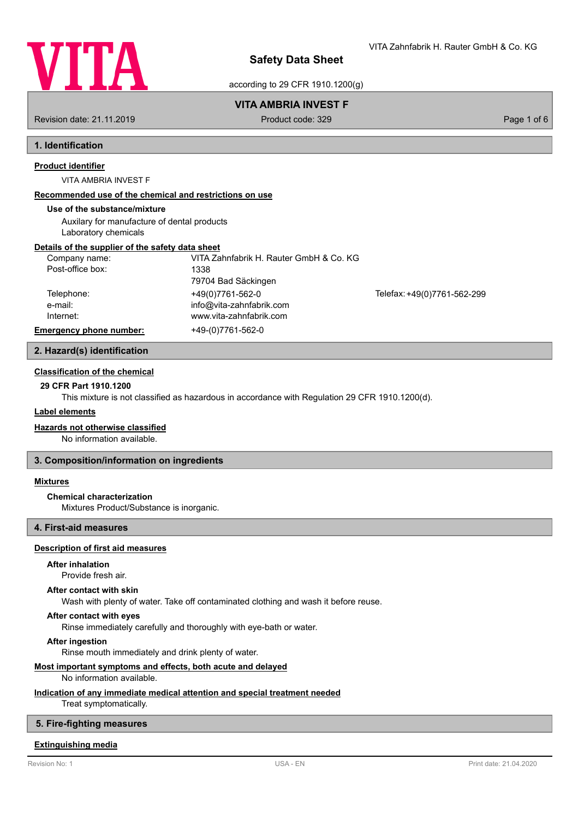

VITA Zahnfabrik H. Rauter GmbH & Co. KG

according to 29 CFR 1910.1200(g)

## **VITA AMBRIA INVEST F**

Revision date: 21.11.2019 **Product code: 329** Product code: 329 **Page 1 of 6** Page 1 of 6

# **1. Identification**

## **Product identifier**

VITA AMBRIA INVEST F

## **Recommended use of the chemical and restrictions on use**

## **Use of the substance/mixture**

Auxilary for manufacture of dental products Laboratory chemicals

## **Details of the supplier of the safety data sheet**

| Company name:                        | VITA Zahnfabrik H. Rauter GmbH & Co. KG      |                             |
|--------------------------------------|----------------------------------------------|-----------------------------|
| Post-office box:                     | 1338<br>79704 Bad Säckingen                  |                             |
| Telephone:<br>e-mail:                | +49(0)7761-562-0<br>info@vita-zahnfabrik.com | Telefax: +49(0)7761-562-299 |
| Internet:<br>Emergency phone number: | www.vita-zahnfabrik.com<br>+49-(0)7761-562-0 |                             |

### **2. Hazard(s) identification**

### **Classification of the chemical**

## **29 CFR Part 1910.1200**

This mixture is not classified as hazardous in accordance with Regulation 29 CFR 1910.1200(d).

### **Label elements**

### **Hazards not otherwise classified**

No information available.

### **3. Composition/information on ingredients**

### **Mixtures**

### **Chemical characterization**

Mixtures Product/Substance is inorganic.

## **4. First-aid measures**

#### **Description of first aid measures**

### **After inhalation**

Provide fresh air.

#### **After contact with skin**

Wash with plenty of water. Take off contaminated clothing and wash it before reuse.

## **After contact with eyes**

Rinse immediately carefully and thoroughly with eye-bath or water.

**After ingestion**

Rinse mouth immediately and drink plenty of water.

## **Most important symptoms and effects, both acute and delayed**

No information available.

## **Indication of any immediate medical attention and special treatment needed**

Treat symptomatically.

## **5. Fire-fighting measures**

## **Extinguishing media**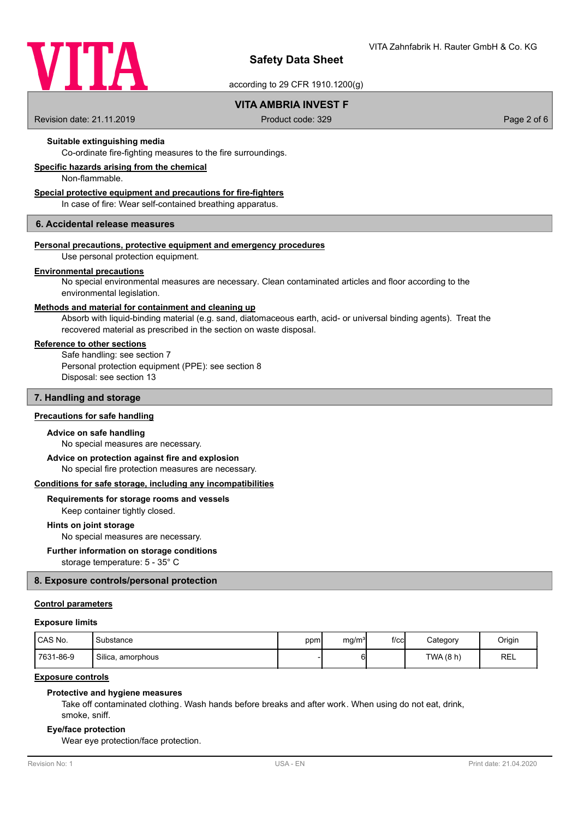

according to 29 CFR 1910.1200(g)

## **VITA AMBRIA INVEST F**

Revision date: 21.11.2019 **Product code: 329** Product code: 329 **Page 2 of 6** Page 2 of 6

### **Suitable extinguishing media**

Co-ordinate fire-fighting measures to the fire surroundings.

## **Specific hazards arising from the chemical**

Non-flammable.

### **Special protective equipment and precautions for fire-fighters**

In case of fire: Wear self-contained breathing apparatus.

### **6. Accidental release measures**

#### **Personal precautions, protective equipment and emergency procedures**

Use personal protection equipment.

#### **Environmental precautions**

No special environmental measures are necessary. Clean contaminated articles and floor according to the environmental legislation.

#### **Methods and material for containment and cleaning up**

Absorb with liquid-binding material (e.g. sand, diatomaceous earth, acid- or universal binding agents). Treat the recovered material as prescribed in the section on waste disposal.

### **Reference to other sections**

Safe handling: see section 7 Personal protection equipment (PPE): see section 8 Disposal: see section 13

### **7. Handling and storage**

### **Precautions for safe handling**

#### **Advice on safe handling**

No special measures are necessary.

### **Advice on protection against fire and explosion**

No special fire protection measures are necessary.

#### **Conditions for safe storage, including any incompatibilities**

### **Requirements for storage rooms and vessels**

Keep container tightly closed.

#### **Hints on joint storage**

No special measures are necessary.

### **Further information on storage conditions**

storage temperature: 5 - 35° C

### **8. Exposure controls/personal protection**

### **Control parameters**

#### **Exposure limits**

| CAS No.   | Substance         | ppm | mg/m <sup>3</sup> | $f$ / $c$ c | Category | Origin     |
|-----------|-------------------|-----|-------------------|-------------|----------|------------|
| 7631-86-9 | Silica, amorphous |     |                   |             | TWA(8 h) | <b>REL</b> |

### **Exposure controls**

#### **Protective and hygiene measures**

Take off contaminated clothing. Wash hands before breaks and after work. When using do not eat, drink, smoke, sniff.

#### **Eye/face protection**

Wear eye protection/face protection.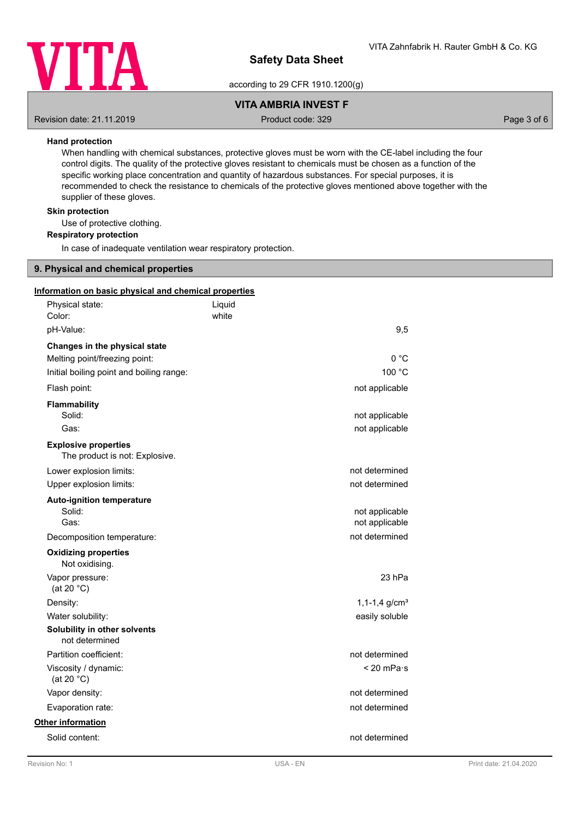

according to 29 CFR 1910.1200(g)

## **VITA AMBRIA INVEST F**

Revision date: 21.11.2019 **Product code: 329** Product code: 329 **Page 3 of 6** Page 3 of 6

### **Hand protection**

When handling with chemical substances, protective gloves must be worn with the CE-label including the four control digits. The quality of the protective gloves resistant to chemicals must be chosen as a function of the specific working place concentration and quantity of hazardous substances. For special purposes, it is recommended to check the resistance to chemicals of the protective gloves mentioned above together with the supplier of these gloves.

## **Skin protection**

Use of protective clothing.

### **Respiratory protection**

In case of inadequate ventilation wear respiratory protection.

## **9. Physical and chemical properties**

| Information on basic physical and chemical properties |                               |  |
|-------------------------------------------------------|-------------------------------|--|
| Physical state:                                       | Liquid                        |  |
| Color:                                                | white                         |  |
| pH-Value:                                             | 9,5                           |  |
| Changes in the physical state                         |                               |  |
| Melting point/freezing point:                         | 0 °C                          |  |
| Initial boiling point and boiling range:              | 100 °C                        |  |
| Flash point:                                          | not applicable                |  |
| <b>Flammability</b>                                   |                               |  |
| Solid:                                                | not applicable                |  |
| Gas:                                                  | not applicable                |  |
| <b>Explosive properties</b>                           |                               |  |
| The product is not: Explosive.                        |                               |  |
| Lower explosion limits:                               | not determined                |  |
| Upper explosion limits:                               | not determined                |  |
| Auto-ignition temperature                             |                               |  |
| Solid:                                                | not applicable                |  |
| Gas:                                                  | not applicable                |  |
| Decomposition temperature:                            | not determined                |  |
| <b>Oxidizing properties</b><br>Not oxidising.         |                               |  |
| Vapor pressure:<br>(at 20 $°C$ )                      | 23 hPa                        |  |
| Density:                                              | $1, 1-1, 4$ g/cm <sup>3</sup> |  |
| Water solubility:                                     | easily soluble                |  |
| Solubility in other solvents<br>not determined        |                               |  |
| Partition coefficient:                                | not determined                |  |
| Viscosity / dynamic:<br>(at 20 $°C$ )                 | $< 20$ mPa $\cdot$ s          |  |
| Vapor density:                                        | not determined                |  |
| Evaporation rate:                                     | not determined                |  |
| Other information                                     |                               |  |
| Solid content:                                        | not determined                |  |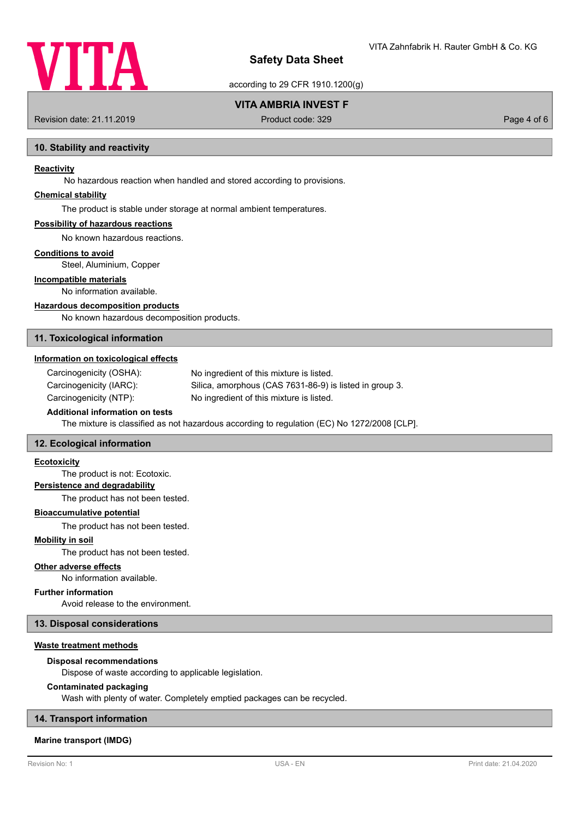

according to 29 CFR 1910.1200(g)

## **VITA AMBRIA INVEST F**

Revision date: 21.11.2019 **Product code: 329** Product code: 329 **Page 4 of 6** Page 4 of 6

### **10. Stability and reactivity**

### **Reactivity**

No hazardous reaction when handled and stored according to provisions.

## **Chemical stability**

The product is stable under storage at normal ambient temperatures.

#### **Possibility of hazardous reactions**

No known hazardous reactions.

### **Conditions to avoid**

Steel, Aluminium, Copper

### **Incompatible materials**

No information available.

### **Hazardous decomposition products**

No known hazardous decomposition products.

### **11. Toxicological information**

### **Information on toxicological effects**

Carcinogenicity (OSHA): No ingredient of this mixture is listed. Carcinogenicity (IARC): Silica, amorphous (CAS 7631-86-9) is listed in group 3. Carcinogenicity (NTP): No ingredient of this mixture is listed.

## **Additional information on tests**

The mixture is classified as not hazardous according to regulation (EC) No 1272/2008 [CLP].

### **12. Ecological information**

### **Ecotoxicity**

The product is not: Ecotoxic.

### **Persistence and degradability**

The product has not been tested.

#### **Bioaccumulative potential**

The product has not been tested.

#### **Mobility in soil**

The product has not been tested.

#### **Other adverse effects**

No information available.

### **Further information**

Avoid release to the environment.

## **13. Disposal considerations**

## **Waste treatment methods**

#### **Disposal recommendations**

Dispose of waste according to applicable legislation.

### **Contaminated packaging**

Wash with plenty of water. Completely emptied packages can be recycled.

## **14. Transport information**

## **Marine transport (IMDG)**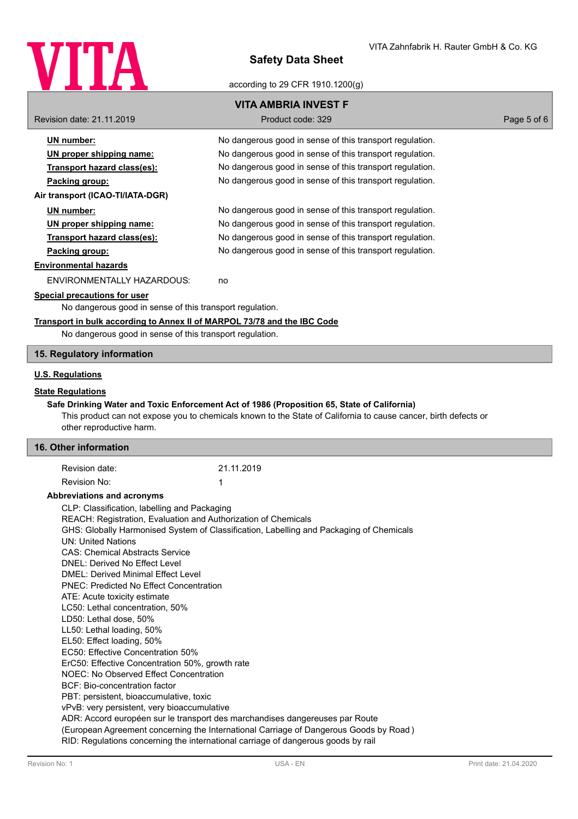

ding to 29 CFR 1910.1200(g)

|                                                                                   | according to 29 CFR 1910.1200 $(q)$                                                                             |             |  |  |
|-----------------------------------------------------------------------------------|-----------------------------------------------------------------------------------------------------------------|-------------|--|--|
|                                                                                   | <b>VITA AMBRIA INVEST F</b>                                                                                     |             |  |  |
| Revision date: 21.11.2019                                                         | Product code: 329                                                                                               | Page 5 of 6 |  |  |
| <b>UN</b> number:                                                                 | No dangerous good in sense of this transport regulation.                                                        |             |  |  |
| UN proper shipping name:                                                          | No dangerous good in sense of this transport regulation.                                                        |             |  |  |
| Transport hazard class(es):                                                       | No dangerous good in sense of this transport regulation.                                                        |             |  |  |
| Packing group:                                                                    | No dangerous good in sense of this transport regulation.                                                        |             |  |  |
|                                                                                   |                                                                                                                 |             |  |  |
| Air transport (ICAO-TI/IATA-DGR)                                                  |                                                                                                                 |             |  |  |
| UN number:                                                                        | No dangerous good in sense of this transport regulation.                                                        |             |  |  |
| UN proper shipping name:                                                          | No dangerous good in sense of this transport regulation.                                                        |             |  |  |
| Transport hazard class(es):                                                       | No dangerous good in sense of this transport regulation.                                                        |             |  |  |
| Packing group:                                                                    | No dangerous good in sense of this transport regulation.                                                        |             |  |  |
| <b>Environmental hazards</b>                                                      |                                                                                                                 |             |  |  |
| <b>ENVIRONMENTALLY HAZARDOUS:</b>                                                 | no                                                                                                              |             |  |  |
| <b>Special precautions for user</b>                                               |                                                                                                                 |             |  |  |
| No dangerous good in sense of this transport regulation.                          |                                                                                                                 |             |  |  |
| Transport in bulk according to Annex II of MARPOL 73/78 and the IBC Code          |                                                                                                                 |             |  |  |
| No dangerous good in sense of this transport regulation.                          |                                                                                                                 |             |  |  |
| 15. Regulatory information                                                        |                                                                                                                 |             |  |  |
| <b>U.S. Regulations</b>                                                           |                                                                                                                 |             |  |  |
|                                                                                   |                                                                                                                 |             |  |  |
| <b>State Regulations</b>                                                          |                                                                                                                 |             |  |  |
|                                                                                   | Safe Drinking Water and Toxic Enforcement Act of 1986 (Proposition 65, State of California)                     |             |  |  |
| other reproductive harm.                                                          | This product can not expose you to chemicals known to the State of California to cause cancer, birth defects or |             |  |  |
|                                                                                   |                                                                                                                 |             |  |  |
| 16. Other information                                                             |                                                                                                                 |             |  |  |
| Revision date:                                                                    | 21.11.2019                                                                                                      |             |  |  |
| Revision No:                                                                      | 1                                                                                                               |             |  |  |
| Abbreviations and acronyms                                                        |                                                                                                                 |             |  |  |
| CLP: Classification, labelling and Packaging                                      |                                                                                                                 |             |  |  |
| REACH: Registration, Evaluation and Authorization of Chemicals                    |                                                                                                                 |             |  |  |
|                                                                                   | GHS: Globally Harmonised System of Classification, Labelling and Packaging of Chemicals                         |             |  |  |
| <b>UN: United Nations</b>                                                         |                                                                                                                 |             |  |  |
| <b>CAS: Chemical Abstracts Service</b><br><b>DNEL: Derived No Effect Level</b>    |                                                                                                                 |             |  |  |
| <b>DMEL: Derived Minimal Effect Level</b>                                         |                                                                                                                 |             |  |  |
| <b>PNEC: Predicted No Effect Concentration</b>                                    |                                                                                                                 |             |  |  |
| ATE: Acute toxicity estimate                                                      |                                                                                                                 |             |  |  |
| LC50: Lethal concentration, 50%                                                   |                                                                                                                 |             |  |  |
| LD50: Lethal dose, 50%                                                            |                                                                                                                 |             |  |  |
| LL50: Lethal loading, 50%                                                         |                                                                                                                 |             |  |  |
| EL50: Effect loading, 50%                                                         |                                                                                                                 |             |  |  |
| EC50: Effective Concentration 50%                                                 |                                                                                                                 |             |  |  |
| ErC50: Effective Concentration 50%, growth rate                                   |                                                                                                                 |             |  |  |
| NOEC: No Observed Effect Concentration<br>BCF: Bio-concentration factor           |                                                                                                                 |             |  |  |
| PBT: persistent, bioaccumulative, toxic                                           |                                                                                                                 |             |  |  |
| vPvB: very persistent, very bioaccumulative                                       |                                                                                                                 |             |  |  |
|                                                                                   | ADR: Accord européen sur le transport des marchandises dangereuses par Route                                    |             |  |  |
|                                                                                   | (European Agreement concerning the International Carriage of Dangerous Goods by Road)                           |             |  |  |
| RID: Regulations concerning the international carriage of dangerous goods by rail |                                                                                                                 |             |  |  |